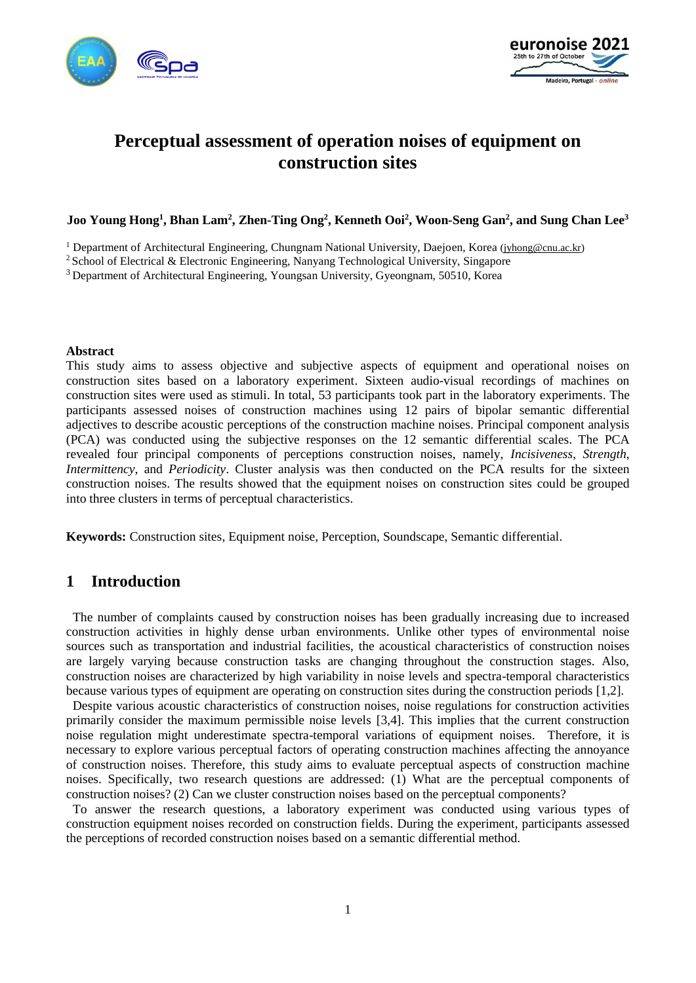



# **Perceptual assessment of operation noises of equipment on construction sites**

#### **Joo Young Hong<sup>1</sup> , Bhan Lam<sup>2</sup> , Zhen-Ting Ong<sup>2</sup> , Kenneth Ooi<sup>2</sup> , Woon-Seng Gan<sup>2</sup> , and Sung Chan Lee<sup>3</sup>**

<sup>1</sup> Department of Architectural Engineering, Chungnam National University, Daejoen, Korea [\(jyhong@cnu.ac.kr\)](mailto:jyhong@cnu.ac.kr)

<sup>2</sup> School of Electrical & Electronic Engineering, Nanyang Technological University, Singapore

<sup>3</sup> Department of Architectural Engineering, Youngsan University, Gyeongnam, 50510, Korea

#### **Abstract**

This study aims to assess objective and subjective aspects of equipment and operational noises on construction sites based on a laboratory experiment. Sixteen audio-visual recordings of machines on construction sites were used as stimuli. In total, 53 participants took part in the laboratory experiments. The participants assessed noises of construction machines using 12 pairs of bipolar semantic differential adjectives to describe acoustic perceptions of the construction machine noises. Principal component analysis (PCA) was conducted using the subjective responses on the 12 semantic differential scales. The PCA revealed four principal components of perceptions construction noises, namely, *Incisiveness*, *Strength*, *Intermittency*, and *Periodicity*. Cluster analysis was then conducted on the PCA results for the sixteen construction noises. The results showed that the equipment noises on construction sites could be grouped into three clusters in terms of perceptual characteristics.

**Keywords:** Construction sites, Equipment noise, Perception, Soundscape, Semantic differential.

### **1 Introduction**

The number of complaints caused by construction noises has been gradually increasing due to increased construction activities in highly dense urban environments. Unlike other types of environmental noise sources such as transportation and industrial facilities, the acoustical characteristics of construction noises are largely varying because construction tasks are changing throughout the construction stages. Also, construction noises are characterized by high variability in noise levels and spectra-temporal characteristics because various types of equipment are operating on construction sites during the construction periods [1,2].

Despite various acoustic characteristics of construction noises, noise regulations for construction activities primarily consider the maximum permissible noise levels [3,4]. This implies that the current construction noise regulation might underestimate spectra-temporal variations of equipment noises. Therefore, it is necessary to explore various perceptual factors of operating construction machines affecting the annoyance of construction noises. Therefore, this study aims to evaluate perceptual aspects of construction machine noises. Specifically, two research questions are addressed: (1) What are the perceptual components of construction noises? (2) Can we cluster construction noises based on the perceptual components?

To answer the research questions, a laboratory experiment was conducted using various types of construction equipment noises recorded on construction fields. During the experiment, participants assessed the perceptions of recorded construction noises based on a semantic differential method.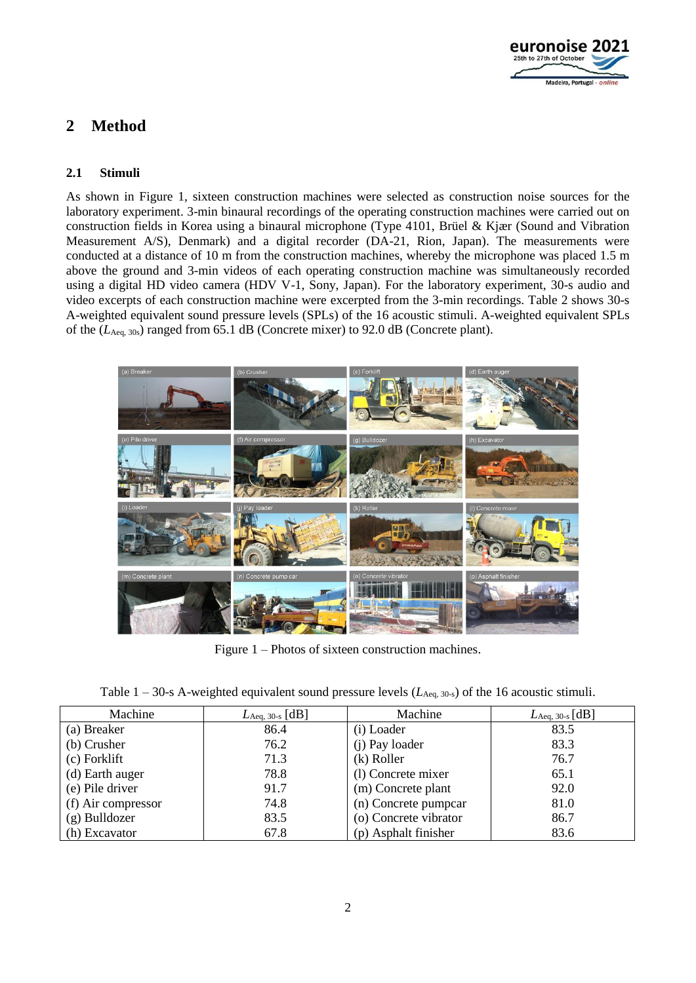

## **2 Method**

#### **2.1 Stimuli**

As shown in Figure 1, sixteen construction machines were selected as construction noise sources for the laboratory experiment. 3-min binaural recordings of the operating construction machines were carried out on construction fields in Korea using a binaural microphone (Type 4101, Brüel & Kjær (Sound and Vibration Measurement A/S), Denmark) and a digital recorder (DA-21, Rion, Japan). The measurements were conducted at a distance of 10 m from the construction machines, whereby the microphone was placed 1.5 m above the ground and 3-min videos of each operating construction machine was simultaneously recorded using a digital HD video camera (HDV V-1, Sony, Japan). For the laboratory experiment, 30-s audio and video excerpts of each construction machine were excerpted from the 3-min recordings. Table 2 shows 30-s A-weighted equivalent sound pressure levels (SPLs) of the 16 acoustic stimuli. A-weighted equivalent SPLs of the (*L*Aeq, 30s) ranged from 65.1 dB (Concrete mixer) to 92.0 dB (Concrete plant).



Figure 1 – Photos of sixteen construction machines.

|  | Table $1 - 30$ -s A-weighted equivalent sound pressure levels ( $L_{\text{Aeq, 30-s}}$ ) of the 16 acoustic stimuli. |  |  |  |
|--|----------------------------------------------------------------------------------------------------------------------|--|--|--|
|  |                                                                                                                      |  |  |  |

| Machine            | $L_{\text{Aeq, 30-s}} \text{[dB]}$ | Machine               | $L_{\rm Aeq,~30\text{-}s}\,[\rm dB]$ |
|--------------------|------------------------------------|-----------------------|--------------------------------------|
| (a) Breaker        | 86.4                               | (i) Loader            | 83.5                                 |
| (b) Crusher        | 76.2                               | (j) Pay loader        | 83.3                                 |
| (c) Forklift       | 71.3                               | (k) Roller            | 76.7                                 |
| (d) Earth auger    | 78.8                               | (1) Concrete mixer    | 65.1                                 |
| (e) Pile driver    | 91.7                               | (m) Concrete plant    | 92.0                                 |
| (f) Air compressor | 74.8                               | (n) Concrete pumpcar  | 81.0                                 |
| $(g)$ Bulldozer    | 83.5                               | (o) Concrete vibrator | 86.7                                 |
| (h) Excavator      | 67.8                               | (p) Asphalt finisher  | 83.6                                 |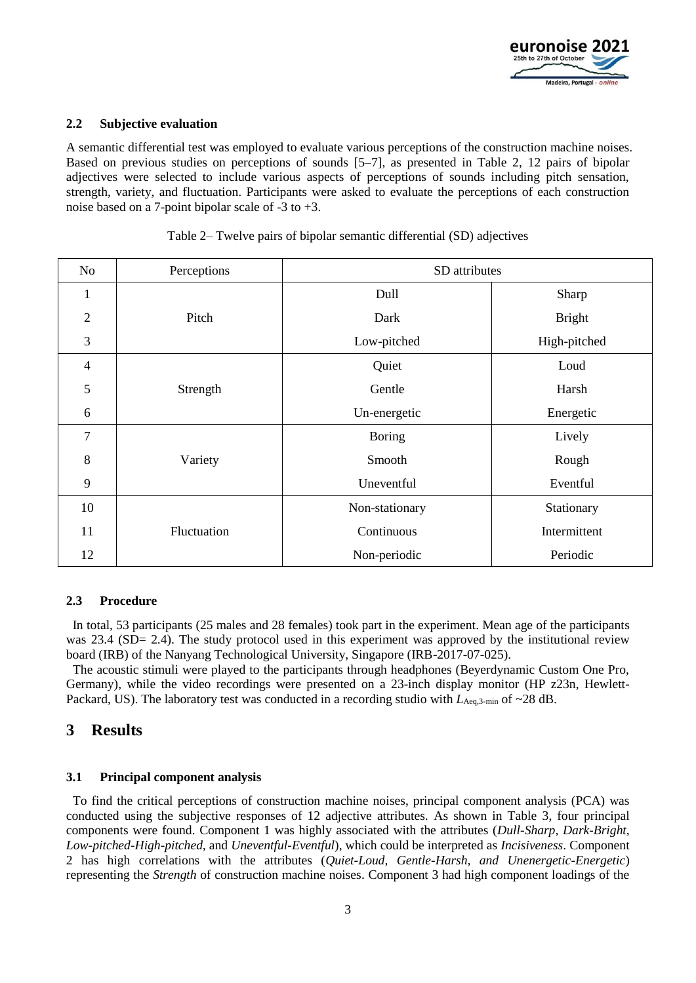

#### **2.2 Subjective evaluation**

A semantic differential test was employed to evaluate various perceptions of the construction machine noises. Based on previous studies on perceptions of sounds [5–7], as presented in Table 2, 12 pairs of bipolar adjectives were selected to include various aspects of perceptions of sounds including pitch sensation, strength, variety, and fluctuation. Participants were asked to evaluate the perceptions of each construction noise based on a 7-point bipolar scale of -3 to +3.

| N <sub>o</sub> | Perceptions | SD attributes  |               |  |  |
|----------------|-------------|----------------|---------------|--|--|
| 1              |             | Dull           | Sharp         |  |  |
| $\overline{2}$ | Pitch       | Dark           | <b>Bright</b> |  |  |
| 3              |             | Low-pitched    | High-pitched  |  |  |
| $\overline{4}$ |             | Quiet          | Loud          |  |  |
| 5              | Strength    | Gentle         | Harsh         |  |  |
| 6              |             | Un-energetic   | Energetic     |  |  |
| 7              |             | <b>Boring</b>  | Lively        |  |  |
| 8              | Variety     | Smooth         | Rough         |  |  |
| 9              |             | Uneventful     | Eventful      |  |  |
| 10             |             | Non-stationary | Stationary    |  |  |
| 11             | Fluctuation | Continuous     | Intermittent  |  |  |
| 12             |             | Non-periodic   | Periodic      |  |  |

|  | Table 2– Twelve pairs of bipolar semantic differential (SD) adjectives |  |
|--|------------------------------------------------------------------------|--|
|  |                                                                        |  |

#### **2.3 Procedure**

In total, 53 participants (25 males and 28 females) took part in the experiment. Mean age of the participants was 23.4 (SD= 2.4). The study protocol used in this experiment was approved by the institutional review board (IRB) of the Nanyang Technological University, Singapore (IRB-2017-07-025).

The acoustic stimuli were played to the participants through headphones (Beyerdynamic Custom One Pro, Germany), while the video recordings were presented on a 23-inch display monitor (HP z23n, Hewlett-Packard, US). The laboratory test was conducted in a recording studio with  $L_{\text{Aeq},3-min}$  of  $\sim$ 28 dB.

## **3 Results**

#### **3.1 Principal component analysis**

To find the critical perceptions of construction machine noises, principal component analysis (PCA) was conducted using the subjective responses of 12 adjective attributes. As shown in Table 3, four principal components were found. Component 1 was highly associated with the attributes (*Dull-Sharp, Dark-Bright, Low-pitched-High-pitched,* and *Uneventful-Eventful*), which could be interpreted as *Incisiveness*. Component 2 has high correlations with the attributes (*Quiet-Loud, Gentle-Harsh, and Unenergetic-Energetic*) representing the *Strength* of construction machine noises. Component 3 had high component loadings of the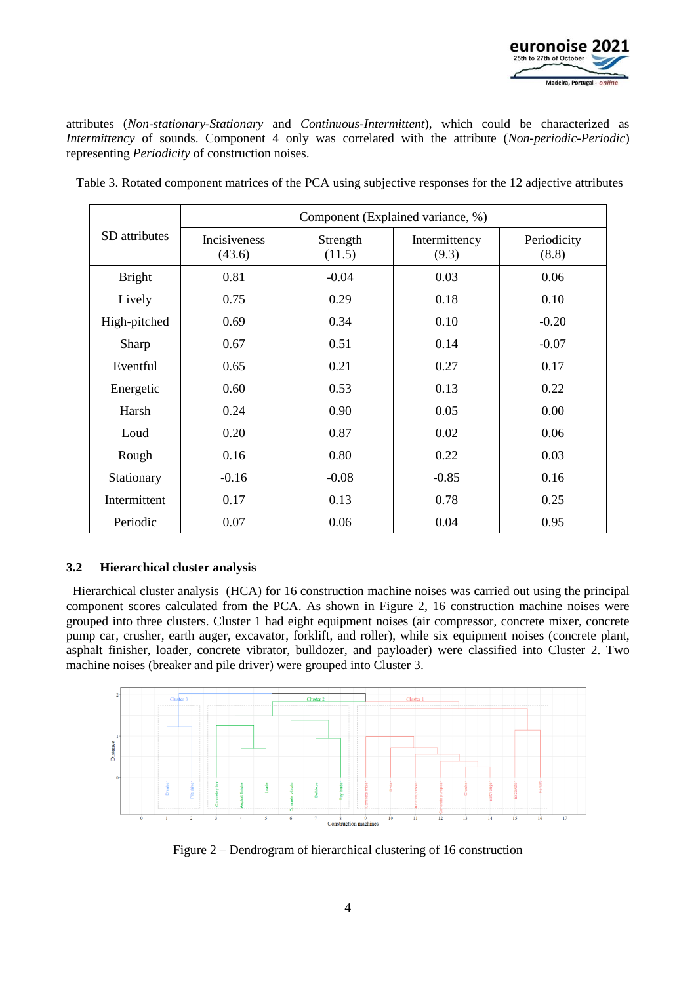

attributes (*Non-stationary-Stationary* and *Continuous-Intermittent*), which could be characterized as *Intermittency* of sounds. Component 4 only was correlated with the attribute (*Non-periodic-Periodic*) representing *Periodicity* of construction noises.

|               | Component (Explained variance, %) |                    |                        |                      |  |  |
|---------------|-----------------------------------|--------------------|------------------------|----------------------|--|--|
| SD attributes | Incisiveness<br>(43.6)            | Strength<br>(11.5) | Intermittency<br>(9.3) | Periodicity<br>(8.8) |  |  |
| <b>Bright</b> | 0.81                              | $-0.04$            | 0.03                   | 0.06                 |  |  |
| Lively        | 0.75                              | 0.29               | 0.18                   | 0.10                 |  |  |
| High-pitched  | 0.69                              | 0.34               | 0.10                   | $-0.20$              |  |  |
| Sharp         | 0.67                              | 0.51               | 0.14                   | $-0.07$              |  |  |
| Eventful      | 0.65                              | 0.21               | 0.27                   | 0.17                 |  |  |
| Energetic     | 0.60                              | 0.53               | 0.13                   | 0.22                 |  |  |
| Harsh         | 0.24                              | 0.90               | 0.05                   | 0.00                 |  |  |
| Loud          | 0.20                              | 0.87               | 0.02                   | 0.06                 |  |  |
| Rough         | 0.16                              | 0.80               | 0.22                   | 0.03                 |  |  |
| Stationary    | $-0.16$                           | $-0.08$            | $-0.85$                | 0.16                 |  |  |
| Intermittent  | 0.17                              | 0.13               | 0.78                   | 0.25                 |  |  |
| Periodic      | 0.07                              | 0.06               | 0.04                   | 0.95                 |  |  |

Table 3. Rotated component matrices of the PCA using subjective responses for the 12 adjective attributes

#### **3.2 Hierarchical cluster analysis**

Hierarchical cluster analysis (HCA) for 16 construction machine noises was carried out using the principal component scores calculated from the PCA. As shown in Figure 2, 16 construction machine noises were grouped into three clusters. Cluster 1 had eight equipment noises (air compressor, concrete mixer, concrete pump car, crusher, earth auger, excavator, forklift, and roller), while six equipment noises (concrete plant, asphalt finisher, loader, concrete vibrator, bulldozer, and payloader) were classified into Cluster 2. Two machine noises (breaker and pile driver) were grouped into Cluster 3.



Figure 2 – Dendrogram of hierarchical clustering of 16 construction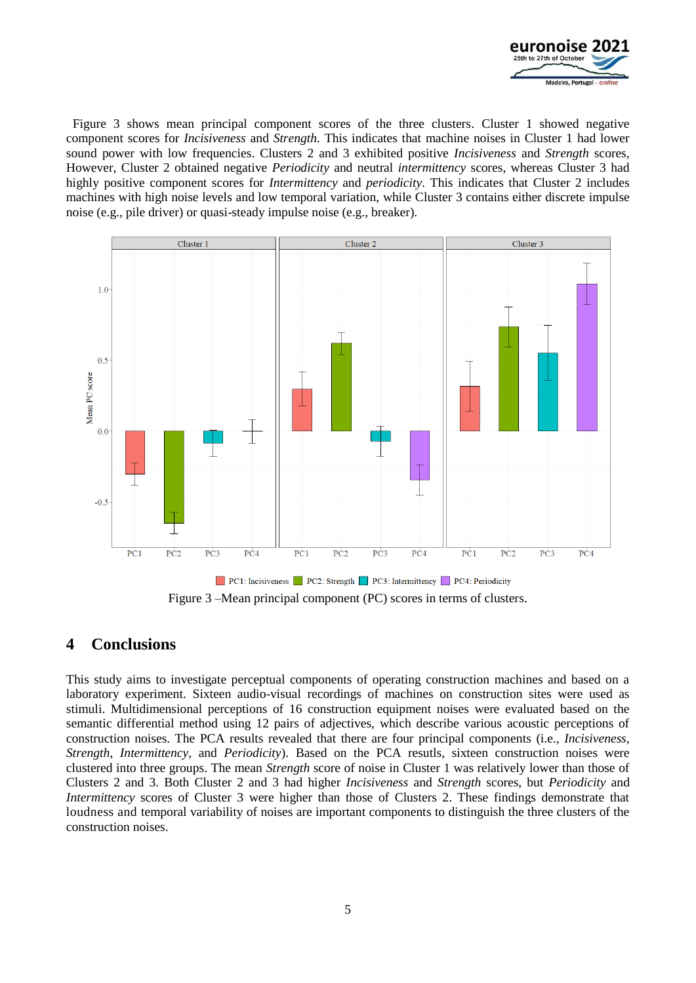

Figure 3 shows mean principal component scores of the three clusters. Cluster 1 showed negative component scores for *Incisiveness* and *Strength.* This indicates that machine noises in Cluster 1 had lower sound power with low frequencies. Clusters 2 and 3 exhibited positive *Incisiveness* and *Strength* scores, However, Cluster 2 obtained negative *Periodicity* and neutral *intermittency* scores, whereas Cluster 3 had highly positive component scores for *Intermittency* and *periodicity*. This indicates that Cluster 2 includes machines with high noise levels and low temporal variation, while Cluster 3 contains either discrete impulse noise (e.g., pile driver) or quasi-steady impulse noise (e.g., breaker).



Figure 3 –Mean principal component (PC) scores in terms of clusters.

## **4 Conclusions**

This study aims to investigate perceptual components of operating construction machines and based on a laboratory experiment. Sixteen audio-visual recordings of machines on construction sites were used as stimuli. Multidimensional perceptions of 16 construction equipment noises were evaluated based on the semantic differential method using 12 pairs of adjectives, which describe various acoustic perceptions of construction noises. The PCA results revealed that there are four principal components (i.e., *Incisiveness*, *Strength*, *Intermittency*, and *Periodicity*). Based on the PCA resutls, sixteen construction noises were clustered into three groups. The mean *Strength* score of noise in Cluster 1 was relatively lower than those of Clusters 2 and 3. Both Cluster 2 and 3 had higher *Incisiveness* and *Strength* scores, but *Periodicity* and *Intermittency* scores of Cluster 3 were higher than those of Clusters 2. These findings demonstrate that loudness and temporal variability of noises are important components to distinguish the three clusters of the construction noises.